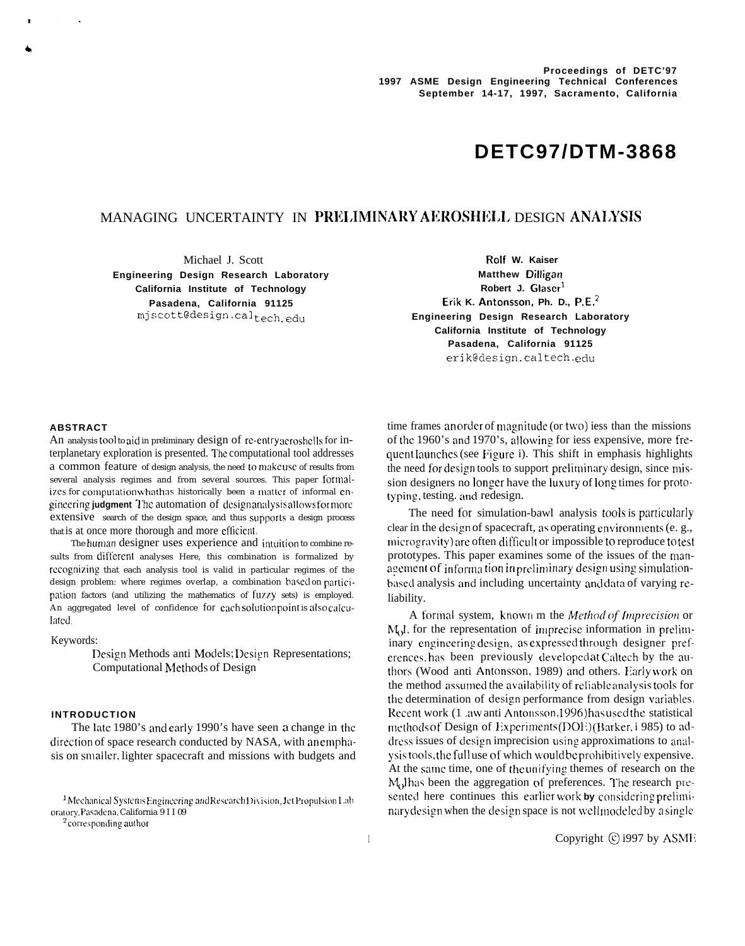# **DETC97/DTM-3868**

# MANAGING UNCERTAINTY IN PRELIMINARY AEROSHELL DESIGN ANALYSIS

**Engineering Design Research Laboratory <b>Matthew Dilligan** Matthew Dilligan **California Institute of Technology Robert J. Glaser**<sup>1</sup> **Pasadena, California 91125 Erik K. Antonsson, Ph. D., P.E.2**

Michael J. Scott **Rolf W. Kaiser Engineering Design Research Laboratory California Institute of Technology Pasadena, California 91125** erik@design .caltech. edu

#### **ABSTRACT**

4

An analysis tool to aid in preliminary design of re-entry aeroshells for interplanetary exploration is presented. The computational tool addresses a common feature of design analysis, the need tomakc usc of results from several analysis regimes and from several sources. This paper formalizes for computation what has historically been a matter of informal engineering judgment The automation of design analysis allows for more extensive search of the design space, and thus supporls a design process that is at once more thorough and more efficient.

The human designer uses experience and intuition to combine results from different analyses Here, this combination is formalized by recognizing that each analysis tool is valid in particular regimes of the design problem: where regimes overlap, a combination based on participation factors (and utilizing the mathematics of  $f(xzy \text{ sets})$  is employed. An aggregated level of confidence for each solution point is also calcu-Iatcd

Keywords:

Design Methods anti Models; Design Representations; Computational Methods of Design

# **INTRODUCTION**

The late 1980's and early 1990's have seen a change in the direction of space research conducted by NASA, with an emphasis on smaller, lighter spacecraft and missions with budgets and

<sup>1</sup> Mechanical Systems Engineering and Research Division, Jet Propulsion Lab oratory, Pasadena, California 9 I I 09

<sup>2</sup> corresponding author

time frames an order of magnitude (or two) iess than the missions of the 1960's and 1970's, allowing for iess expensive, more frequent launches (see Figure i). This shift in emphasis highlights the need for design tools to support preliminary design, since mission designers no longer have the luxury of long times for prototyping. testing. and redesign.

The need for simulation-bawl analysis tools is particularly clear in the design of spacecraft, as operating environments (e. g., microgravity) are often difficult or impossible to reproduce to test prototypes. This paper examines some of the issues of the man $a$  eement of information in preliminary design using simulationbased analysis and including uncertainty and data of varying reliability.

A formal system, known m the *Method of Imprecision* or  $M<sub>Q</sub>$ , for the representation of imprecise information in preliminary engineering design, as expressed through designer preferences, has been previously developed at Caltech by the authors (Wood anti Antonsson, 1989) and others. Early work on the method assumed the availability of reliable analysis tools for the determination of design performance from design variables. Recent work (1 .aw anti Antonsson, 1996) has used the statistical methods of Design of Experiments (DOE) (Barker, i 985) to address issues of design imprecision using approximations to analysis tools, the full use of which would be prohibitively expensive. At the same time, one of the unifying themes of research on the M<sub>0</sub>I has been the aggregation of preferences. The research presented here continues this earlier work by considering preliminary design when the design space is not well modeled by a single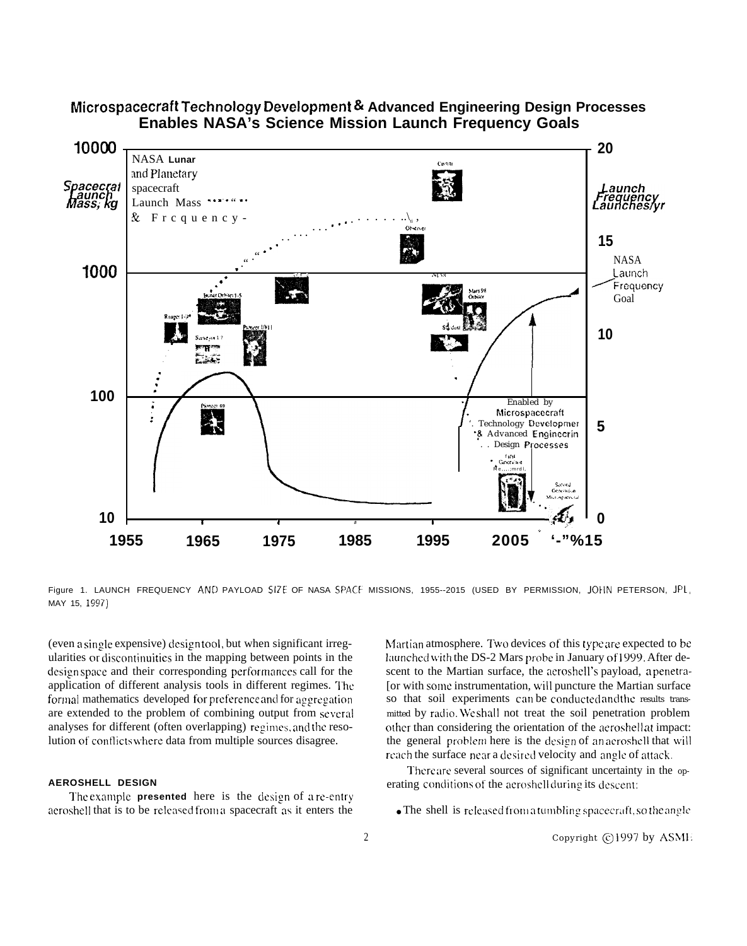

# Microspacecraft Technology Development & Advanced Engineering Design Processes **Enables NASA's Science Mission Launch Frequency Goals**

Figure 1. LAUNCH FREQUENCY AND PAYLOAD SIZE OF NASA SPACE MISSIONS, 1955--2015 (USED BY PERMISSION, JOHN PETERSON, JPL, MAY 15, 1997)

(even a single expensive) design tool, but when significant irregularities or discontinuities in the mapping between points in the designspace and their corresponding performances call for the application of different analysis tools in different regimes. The formal mathematics developed for preference and for aggregation are extended to the problem of combining output from several analyses for different (often overlapping) regimes, and the resolution of conflicts where data from multiple sources disagree.

## **AEROSHELL DESIGN**

The example **presented** here is the design of a re-entry aeroshell that is to be released from a spacecraft as it enters the

Martian atmosphere. Two devices of this type are expected to be launched with the DS-2 Mars probe in January of 1999. After descent to the Martian surface, the aeroshell's payload, a penetra-[or with some instrumentation, will puncture the Martian surface so that soil experiments can be conducted and the results transmitted by radio. We shall not treat the soil penetration problem other than considering the orientation of the aeroshellat impact: the general problem here is the design of an aeroshell that will reach the surface near a desired velocity and angle of attack.

There are several sources of significant uncertainty in the operating conditions of the aeroshell during its descent:

• The shell is released from a tumbling spacecraft, so the angle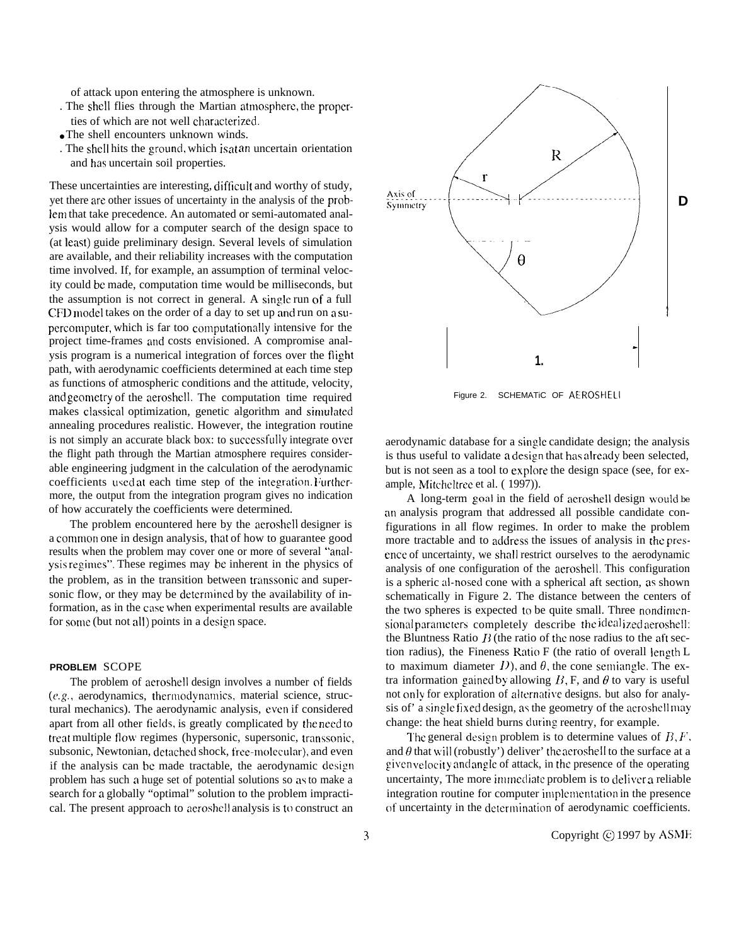of attack upon entering the atmosphere is unknown.

- . The shell flies through the Martian atmosphere, the properties of which are not well characterized.
- The shell encounters unknown winds.
- . The shell hits the ground, which is at an uncertain orientation and has uncertain soil properties.

These uncertainties are interesting, difficult and worthy of study, yet there arc other issues of uncertainty in the analysis of the problem that take precedence. An automated or semi-automated analysis would allow for a computer search of the design space to (at least) guide preliminary design. Several levels of simulation are available, and their reliability increases with the computation time involved. If, for example, an assumption of terminal velocity could bc made, computation time would be milliseconds, but the assumption is not correct in general. A single run of a full CFD model takes on the order of a day to set up and run on a supercomputer, which is far too computationally intensive for the project time-frames and costs envisioned. A compromise analysis program is a numerical integration of forces over the flight path, with aerodynamic coefficients determined at each time step as functions of atmospheric conditions and the attitude, velocity, and geometry of the aeroshell. The computation time required makes classical optimization, genetic algorithm and simulated annealing procedures realistic. However, the integration routine is not simply an accurate black box: to successfully integrate over the flight path through the Martian atmosphere requires considerable engineering judgment in the calculation of the aerodynamic coefficients used at each time step of the integration. Furthermore, the output from the integration program gives no indication of how accurately the coefficients were determined.

The problem encountered here by the aeroshell designer is a common one in design analysis, that of how to guarantee good results when the problem may cover one or more of several "analysis regimes". These regimes may be inherent in the physics of the problem, as in the transition between transsonic and supersonic flow, or they may be determined by the availability of information, as in the case when experimental results are available for some (but not all) points in a design space.

#### **PROBLEM** SCOPE

The problem of aeroshell design involves a number of fields  $(e.g., aerodynamics, the *rmodynamics*, material science, struc$ tural mechanics). The aerodynamic analysis, even if considered apart from all other fields, is greatly complicated by the need to treat multiple flow, regimes (hypersonic, supersonic, transsonit, subsonic, Newtonian, detached shock, free-molecular), and even if the analysis can be made tractable, the aerodynamic design problem has such a huge set of potential solutions so as to make a search for a globally "optimal" solution to the problem impractical. The present approach to aeroshell analysis is to construct an



Figure 2. SCHEMATiC OF AEROSHELI

aerodynamic database for a single candidate design; the analysis is thus useful to validate a design that has already been selected, but is not seen as a tool to explore the design space (see, for example, Mitcheltree et al. (1997)).

A long-term goal in the field of aeroshell design would be an analysis program that addressed all possible candidate configurations in all flow regimes. In order to make the problem more tractable and to address the issues of analysis in the presence of uncertainty, we shall restrict ourselves to the aerodynamic analysis of one configuration of the aeroshell. This configuration is a spheric al-nosed cone with a spherical aft section, as shown schematically in Figure 2. The distance between the centers of the two spheres is expected to be quite small. Three nondimensional parameters completely describe the ideal ized aeroshell: the Bluntness Ratio  $B$  (the ratio of the nose radius to the aft section radius), the Fineness Ratio F (the ratio of overall length L to maximum diameter  $D$ ), and  $\theta$ , the cone semiangle. The extra information gained by allowing  $B$ , F, and  $\theta$  to vary is useful not only for exploration of alternative designs. but also for analysis of' a single fixed design, as the geometry of the aeroshell may change: the heat shield burns cluring reentry, for example.

The general design problem is to determine values of  $B, F$ , and  $\theta$  that will (robustly') deliver' the aeroshell to the surface at a given velocity and angle of attack, in the presence of the operating uncertainty, The more immediate problem is to deliver a reliable integration routine for computer implementation in the presence of uncertainty in the determination of aerodynamic coefficients.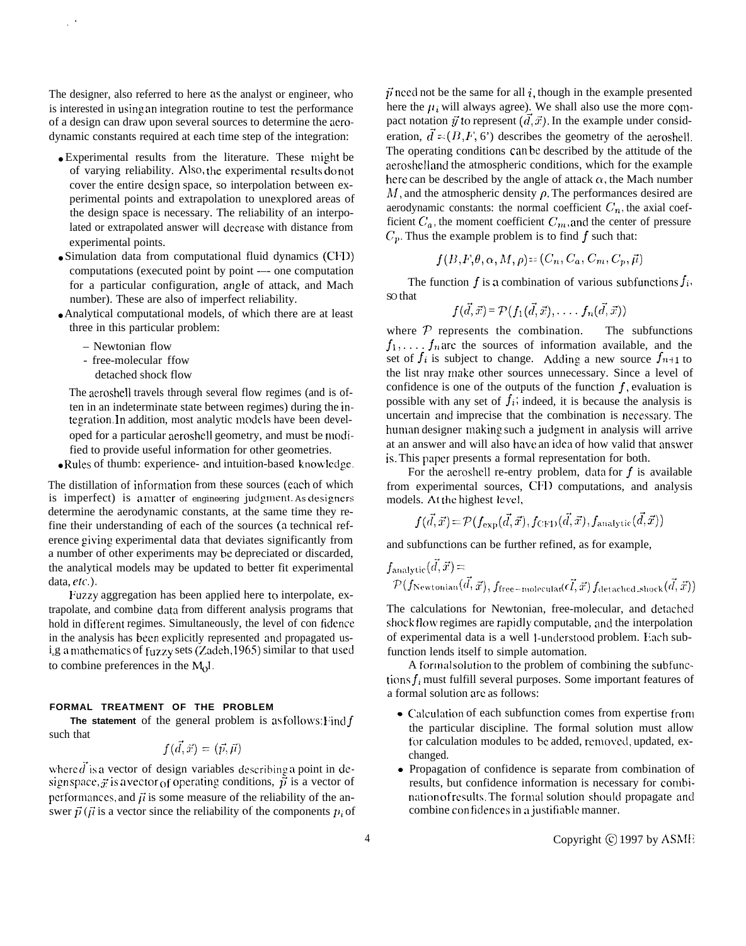The designer, also referred to here as the analyst or engineer, who is interested in using an integration routine to test the performance of a design can draw upon several sources to determine the aerodynamic constants required at each time step of the integration:

- Experimental results from the literature. These might be of varying reliability. Also, the experimental results do not cover the entire design space, so interpolation between experimental points and extrapolation to unexplored areas of the design space is necessary. The reliability of an interpolated or extrapolated answer will decrease with distance from experimental points.
- Simulation data from computational fluid dynamics (C1~D) computations (executed point by point --- one computation for a particular configuration, angle of attack, and Mach number). These are also of imperfect reliability.
- Analytical computational models, of which there are at least three in this particular problem:
	- Newtonian flow

,"

- free-molecular ffow
- detached shock flow

The aeroshell travels through several flow regimes (and is often in an indeterminate state between regimes) during the integration. In addition, most analytic models have been developed for a particular aeroshell geometry, and must be modified to provide useful information for other geometries.

● Rules of thumb: experience- and intuition-based knowledge.

The distillation of information from these sources (each of which is imperfect) is a matter of engineering judgment. As designers determine the aerodynamic constants, at the same time they refine their understanding of each of the sources (a technical reference giving experimental data that deviates significantly from a number of other experiments may be depreciated or discarded, the analytical models may be updated to better fit experimental data,  $etc.$ ).

Fuzzy aggregation has been applied here to interpolate, extrapolate, and combine data from different analysis programs that hold in different regimes. Simultaneously, the level of con fidence in the analysis has been explicitly represented ancl propagated usig a mathematics of  $fuzzy sets (Zadeh, 1965)$  similar to that used to combine preferences in the  $M<sub>Q</sub>I$ .

## **FORMAL TREATMENT OF THE PROBLEM**

The statement of the general problem is as follows: I'ind  $f$ such that

$$
f(d,\tilde{x})=(\vec{p},\vec{\mu})
$$

where  $\vec{d}$  is a vector of design variables describing a point in design space,  $\vec{x}$  is a vector of operating conditions,  $\vec{p}$  is a vector of performances, and  $\vec{\mu}$  is some measure of the reliability of the answer  $\vec{p}$  ( $\vec{\mu}$  is a vector since the reliability of the components  $p_i$  of  $\vec{p}$  need not be the same for all  $i$ , though in the example presented here the  $\mu_i$  will always agree). We shall also use the more compact notation  $\vec{y}$  to represent  $(\vec{d}, \vec{x})$ . In the example under consideration,  $\vec{d} = (B, F, 6)$  describes the geometry of the aeroshell. The operating conditions can be described by the attitude of the aeroshell and the atmospheric conditions, which for the example here can be described by the angle of attack  $\alpha$ , the Mach number  $M$ , and the atmospheric density  $\rho$ . The performances desired are aerodynamic constants: the normal coefficient  $C_n$ , the axial coefficient  $C_a$ , the moment coefficient  $C_m$ , and the center of pressure  $C_p$ . Thus the example problem is to find f such that:

$$
f(B,F,\theta,\alpha,M,\rho) = (C_n, C_a, C_m, C_p, \vec{\mu})
$$

The function  $f$  is a combination of various subfunctions  $f_i$ , SO that

$$
f(\vec{d},\vec{x}) = \mathcal{P}(f_1(\vec{d},\vec{x}),\ldots,f_n(\vec{d},\vec{x}))
$$

where  $P$  represents the combination. The subfunctions  $f_1, \ldots, f_n$  are the sources of information available, and the set of  $f_i$  is subject to change. Adding a new source  $f_{n+1}$  to the list nray make other sources unnecessary. Since a level of confidence is one of the outputs of the function  $f$ , evaluation is possible with any set of  $f_i$ ; indeed, it is because the analysis is uncertain and imprecise that the combination is necessary. The human designer making such a judgment in analysis will arrive at an answer and will also have an idea of how valid that answer is. This paper presents a formal representation for both.

For the aeroshell re-entry problem, data for  $f$  is available from experimental sources, CFD computations, and analysis models. At the highest level.

$$
f(\vec{d},\vec{x})\!=\!\mathcal{P}(f_\mathrm{exp}(\vec{d},\vec{x}),f_\mathrm{CFD}(\vec{d},\vec{x}),f_\mathrm{analytic}(\vec{d},\vec{x}))
$$

and subfunctions can be further refined, as for example,

$$
f_{\text{analytic}}(\vec{d}, \vec{x}) =
$$
  

$$
\mathcal{P}(f_{\text{Newtonian}}(\vec{d}, \vec{x}), f_{\text{free-molecular}}(\vec{d}, \vec{x}) f_{\text{detached\_shock}}(\vec{d}, \vec{x}))
$$

The calculations for Newtonian, free-molecular, and detached shock flow regimes are rapidly computable, and the interpolation of experimental data is a well 1-understood problem. Each subfunction lends itself to simple automation.

A formal solution to the problem of combining the subfunctions  $f_i$  must fulfill several purposes. Some important features of a formal solution arc as follows:

- $\bullet$  Calculation of each subfunction comes from expertise from the particular discipline. The formal solution must allow for calculation modules to be added, removed, updated, exchanged.
- Propagation of confidence is separate from combination of results, but confidence information is necessary for combination of results. The formal solution should propagate and combine confidences in a justifiable manner.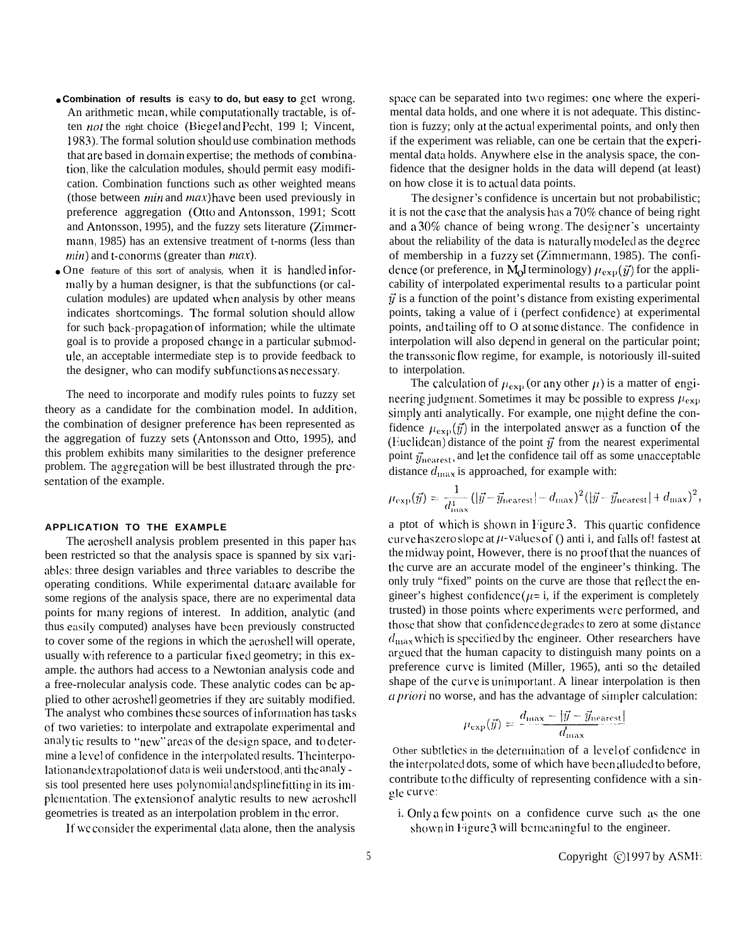- **Combination of results is easy to do, but easy to get** wrong. An arithmetic mean, while computationally tractable, is often *not* the right choice (Biegel and Pecht, 199 l; Vincent, 1983). The formal solution should use combination methods that are based in domain expertise; the methods of combination, like the calculation modules, should permit easy modification. Combination functions such as other weighted means (those between  $min$  and  $max$ ) have been used previously in preference aggregation (Otto and Antonsson, 1991; Scott and Antonsson, 1995), and the fuzzy sets literature  $(Z_{i}$ mmermann, 1985) has an extensive treatment of t-norms (less than  $min$ ) and t-conorms (greater than  $max$ ).
- One feature of this sort of analysis, when it is handled informally by a human designer, is that the subfunctions (or calculation modules) are updated when analysis by other means indicates shortcomings. The formal solution should allow for such back-propagation of information; while the ultimate goal is to provide a proposed change in a particular subrnod-UIC, an acceptable intermediate step is to provide feedback to the designer, who can modify subfunctions as necessary.

The need to incorporate and modify rules points to fuzzy set theory as a candidate for the combination model. In addition, the combination of designer preference has been represented as the aggregation of fuzzy sets (Antonsson and Otto, 1995), ancl this problem exhibits many similarities to the designer preference problem. The aggregation will be best illustrated through the presentation of the example.

### **APPLICATION TO THE EXAMPLE**

The aeroshell analysis problem presented in this paper has been restricted so that the analysis space is spanned by six variables: three design variables and three variables to describe the operating conditions. While experimental data are available for some regions of the analysis space, there are no experimental data points for many regions of interest. In addition, analytic (and thus easily computed) analyses have been previously constructed to cover some of the regions in which the aeroshell will operate, usually with reference to a particular fixed geometry; in this example. the authors had access to a Newtonian analysis code and a free-rnolecular analysis code. These analytic codes can be applied to other aeroshell geometries if they are suitably modified. The analyst who combines these sources of information has tasks of two varieties: to interpolate and extrapolate experimental and analy tic results to "new" areas of the design space, and to determine a level of confidence in the interpolated results. The interpolation and extrapolation of data is weii understood, anti the analy sis tool presented here uses polynomial and spline fitting in its implementation. The extension of analytic results to new aeroshell geometries is treated as an interpolation problem in the error.

It we consider the experimental data alone, then the analysis

space can be separated into two regimes: one where the experimental data holds, and one where it is not adequate. This distinction is fuzzy; only at the actual experimental points, and only then if the experiment was reliable, can one be certain that the experimental data holds. Anywhere else in the analysis space, the confidence that the designer holds in the data will depend (at least) on how close it is to actual data points.

The designer's confidence is uncertain but not probabilistic; it is not the case that the analysis has a  $70\%$  chance of being right and a  $30\%$  chance of being wrong. The designer's uncertainty about the reliability of the data is naturally modeled as the degree of membership in a fuzzy set (Zimmermann, 1985). The confidence (or preference, in M<sub>o</sub>I terminology)  $\mu_{\rm exp}(\vec{y})$  for the applicability of interpolated experimental results to a particular point  $\vec{v}$  is a function of the point's distance from existing experimental points, taking a value of i (perfect confidence) at experimental points, and tailing off to O at some distance. The confidence in interpolation will also depend in general on the particular point; the transsonic flow regime, for example, is notoriously ill-suited to interpolation.

The calculation of  $\mu_{\text{exp}}$  (or any other  $\mu$ ) is a matter of engineering judgment. Sometimes it may be possible to express  $\mu_{\rm exp}$ simply anti analytically. For example, one might define the confidence  $\mu_{\text{exn}}(\vec{y})$  in the interpolated answer as a function of the (Euclidean) distance of the point  $\vec{y}$  from the nearest experimental point  $\vec{y}_{\text{nearest}}$ , and let the confidence tail off as some unacceptable distance  $d_{\text{max}}$  is approached, for example with:

$$
\mu_{\exp}(\vec{y}) = \frac{1}{d_{\max}^4} (|\vec{y} - \vec{y}_{\text{nearest}}| - d_{\max})^2 (|\vec{y} - \vec{y}_{\text{nearest}}| + d_{\max})^2,
$$

a ptot of which is shown in Figure 3. This quartic confidence curve has zero slope at  $\mu$ -values of () anti i, and falls of! fastest at the midway point, However, there is no proof that the nuances of the curve are an accurate model of the engineer's thinking. The only truly "fixed" points on the curve are those that rellect the engineer's highest confidence ( $\mu$ = i, if the experiment is completely trusted) in those points where experiments were performed, and those that show that confidence degrades to zero at some distance  $d_{\text{max}}$  which is specified by the engineer. Other researchers have argued that the human capacity to distinguish many points on a preference curve is limited (Miller, 1965), anti so the detailed shape of the curve is unimportant. A linear interpolation is then *ca priori* no worse, and has the advantage of simpler calculation:

$$
\mu_{\exp}(\vec{y}) = \frac{d_{\max} - |\vec{y} - \vec{y}_{\text{nearest}}|}{d_{\max}}
$$

Other subtleties in the determination of a level of confidence in the interpolated dots, some of which have been alluded to before, contribute to the difficulty of representing confidence with a single curve:

i. Only a few points on a confidence curve such as the one shown in Figure 3 will be meaningful to the engineer.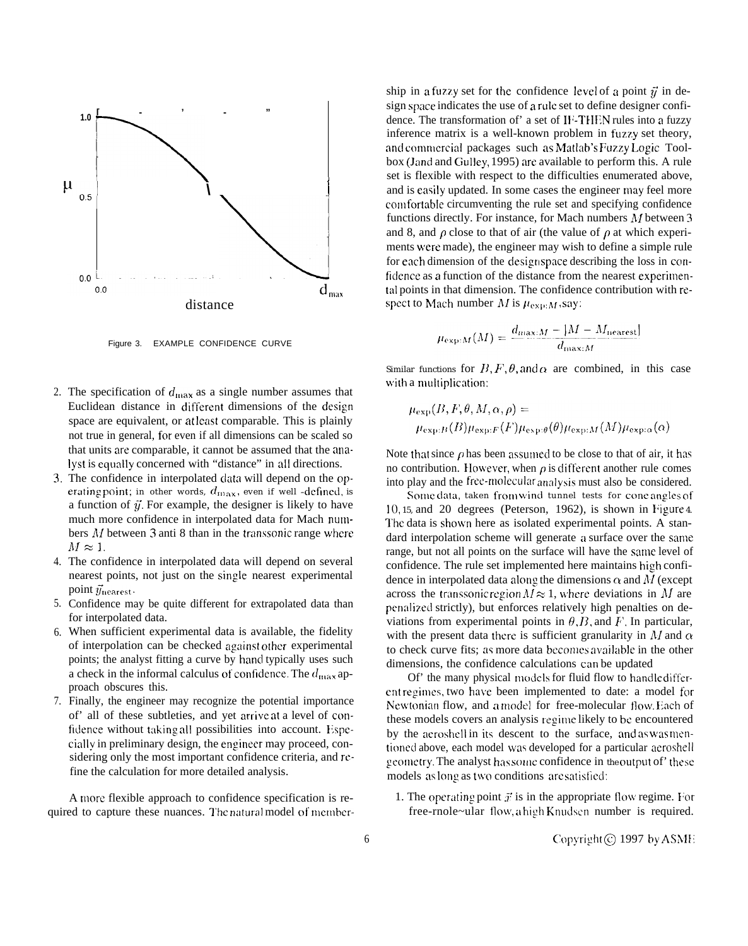

Figure 3. EXAMPLE CONFIDENCE CURVE

- 2. The specification of  $d_{\text{max}}$  as a single number assumes that Euclidean distance in different dimensions of the design space are equivalent, or at least comparable. This is plainly not true in general, for even if all dimensions can be scaled so that units are comparable, it cannot be assumed that the analyst is equally concerned with "distance" in all directions.
- 3. The confidence in interpolated data will depend on the operating point; in other words,  $d_{\max}$ , even if well -defined, is a function of  $\vec{y}$ . For example, the designer is likely to have much more confidence in interpolated data for Mach numbers  $M$  between 3 anti 8 than in the transsonic range where  $M \approx 1$ .
- 4. The confidence in interpolated data will depend on several nearest points, not just on the single nearest experimental point  $\vec{y}_{\text{nearest}}$ .
- 5. Confidence may be quite different for extrapolated data than for interpolated data.
- 6. When sufficient experimental data is available, the fidelity of interpolation can be checked against other experimental points; the analyst fitting a curve by hand typically uses such a check in the informal calculus of confidence. The  $d_{\text{max}}$  approach obscures this.
- 7. Finally, the engineer may recognize the potential importance of' all of these subtleties, and yet arrive at a level of confidence without taking all possibilities into account. Especially in preliminary design, the engineer may proceed, considering only the most important confidence criteria, and refine the calculation for more detailed analysis.

A more flexible approach to confidence specification is required to capture these nuances. The natural model of member-

ship in a fuzzy set for the confidence level of a point  $\vec{y}$  in design space indicates the use of a rule set to define designer confidence. The transformation of' a set of IF-THEN rules into a fuzzy inference matrix is a well-known problem in fuzzy set theory, and commercial packages such as Matlab's Fuzzy Logic Toolbox (Jand and Ciulley, 1995) arc available to perform this. A rule set is flexible with respect to the difficulties enumerated above, **Present the I and is easily updated. In some cases the engineer may feel more** con) fortable circumventing the rule set and specifying confidence functions directly. For instance, for Mach numbers  $M$  between 3 and 8, and  $\rho$  close to that of air (the value of  $\rho$  at which experiments were made), the engineer may wish to define a simple rule for each dimension of the designspace describing the loss in confidence as a function of the distance from the nearest experimental points in that dimension. The confidence contribution with rcspect to Mach number  $M$  is  $\mu_{\exp:M}$ , say:

$$
\mu_{\exp:M}(M) = \frac{d_{\max:M} - |M - M_{\text{nearest}}|}{d_{\max:M}}
$$

Similar functions for  $B, F, \theta$ , and  $\alpha$  are combined, in this case with a multiplication:

$$
\mu_{\exp}(B, F, \theta, M, \alpha, \rho) =
$$
  

$$
\mu_{\exp:B}(B)\mu_{\exp:F}(F)\mu_{\exp:\theta}(\theta)\mu_{\exp:M}(M)\mu_{\exp:\alpha}(\alpha)
$$

Note that since  $\rho$  has been assumed to be close to that of air, it has no contribution. However, when  $\rho$  is different another rule comes into play and the free-molecular analysis must also be considered.

Some data, taken from wind tunnel tests for cone angles of  $10, 15$ , and  $20$  degrees (Peterson, 1962), is shown in Figure 4. The data is showm here as isolated experimental points. A standard interpolation scheme will generate a surface over the same range, but not all points on the surface will have the same level of confidence. The rule set implemented here maintains high confidence in interpolated data along the dimensions  $\alpha$  and M (except across the transsonic region  $M \approx 1$ , where deviations in M are penalized strictly), but enforces relatively high penalties on deviations from experimental points in  $\theta$ , B, and F. In particular, with the present data there is sufficient granularity in M and  $\alpha$ to check curve fits; as more data becomes available in the other dimensions, the confidence calculations can be updated

Of' the many physical models for fluid flow to handledifferent regimes, two have been implemented to date: a model for Newtonian flow, and a model for free-molecular flow. Each of these models covers an analysis regime likely to be encountered by the aeroshell in its descent to the surface, and as was mentioned above, each model was developed for a particular aeroshell geometry. The analyst has some confidence in the output of' these models as long as two conditions are satisfied:

1. The operating point  $\vec{x}$  is in the appropriate flow regime. For  $free$ -rnole~ular flow, a high Knudsen number is required.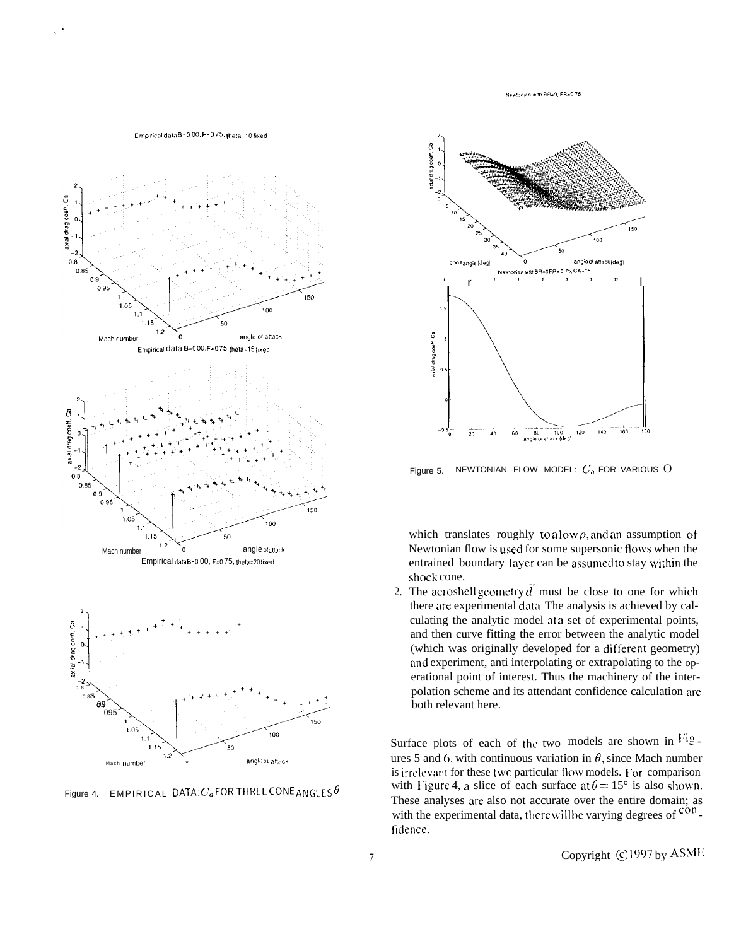Newtonian with BR=0, FR=0.75



Figure 4. EMPIRICAL DATA:  $C_a$  FOR THREE CONE ANGLES  $\theta$ 



NEWTONIAN FLOW MODEL:  $C_a$  FOR VARIOUS O Figure 5.

which translates roughly to a low  $\rho$ , and an assumption of Newtonian flow is used for some supersonic flows when the entrained boundary layer can be assumed to stay within the shock cone.

2. The aeroshell geometry  $\vec{d}$  must be close to one for which there are experimental data. The analysis is achieved by calculating the analytic model at a set of experimental points, and then curve fitting the error between the analytic model (which was originally developed for a different geometry) and experiment, anti interpolating or extrapolating to the operational point of interest. Thus the machinery of the interpolation scheme and its attendant confidence calculation are both relevant here.

Surface plots of each of the two models are shown in Fig. ures 5 and 6, with continuous variation in  $\theta$ , since Mach number is irrelevant for these two particular flow models. For comparison with Figure 4, a slice of each surface at  $\theta = 15^{\circ}$  is also shown. These analyses are also not accurate over the entire domain; as with the experimental data, there will be varying degrees of confidence.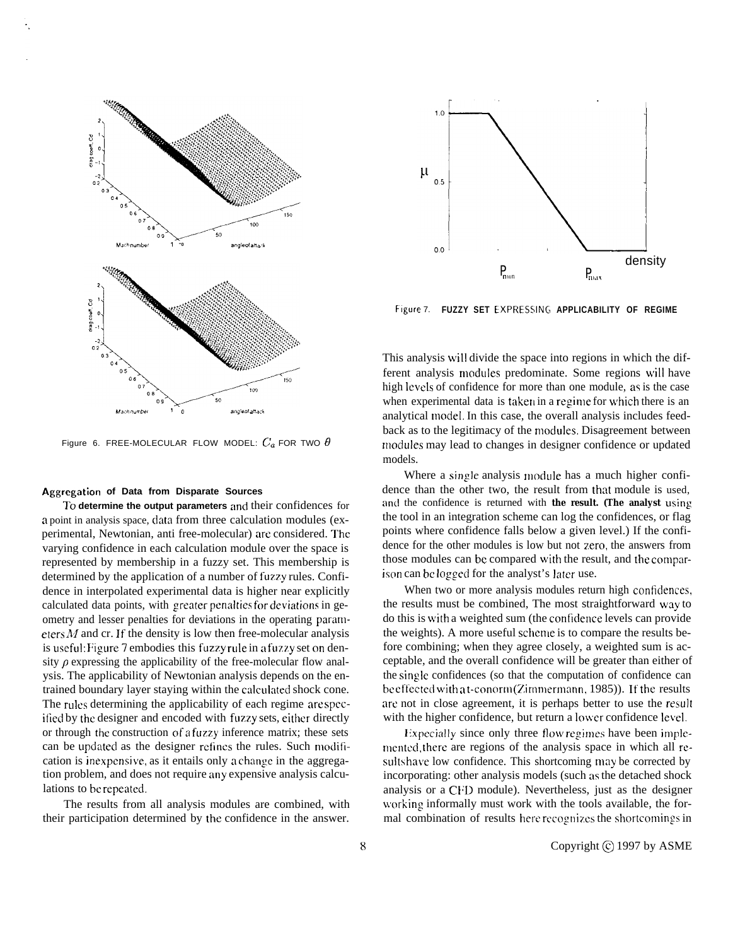

Figure 6. FREE-MOLECULAR FLOW MODEL:  $C_a$  FOR TWO  $\theta$ 

#### **Aggregation of Data from Disparate Sources**

To determine the output parameters and their confidences for a point in analysis space, data from three calculation modules (experimental, Newtonian, anti free-molecular) arc considered. The varying confidence in each calculation module over the space is represented by membership in a fuzzy set. This membership is determined by the application of a number of fuzzy rules. Confidence in interpolated experimental data is higher near explicitly calculated data points, with greater penalties for deviations in geometry and lesser penalties for deviations in the operating parameters  $M$  and cr. If the density is low then free-molecular analysis is useful: Figure 7 embodies this fuzzy rule in a fuzzy set on density  $\rho$  expressing the applicability of the free-molecular flow analysis. The applicability of Newtonian analysis depends on the entrained boundary layer staying within the calculated shock cone. The rules determining the applicability of each regime are spccified by the designer and encoded with fuzzy sets, either directly or through the construction of a fuzzy inference matrix; these sets can be updated as the designer refines the rules. Such modification is inexpensive, as it entails only a change in the aggregation problem, and does not require any expensive analysis calculations to be repeated.

The results from all analysis modules are combined, with their participation determined by the confidence in the answer.



**Figure** 7. **FUZZY SET EXPRESSINCT APPLICABILITY OF REGIME**

This analysis will divide the space into regions in which the different analysis modules predominate. Some regions will have high levels of confidence for more than one module, as is the case when experimental data is taken in a regime for which there is an analytical model, In this case, the overall analysis includes feedback as to the legitimacy of the modules. Disagreement between modules may lead to changes in designer confidence or updated models.

Where a single analysis module has a much higher confidence than the other two, the result from that module is used, and the confidence is returned with **the result. (The analyst using** the tool in an integration scheme can log the confidences, or flag points where confidence falls below a given level.) If the confidence for the other modules is low but not zero, the answers from those modules can be compared with the result, and the comparison can bc logged for the analyst's later use.

When two or more analysis modules return high confidences, the results must be combined, The most straightforward way to do this is with a weighted sum (the confidence levels can provide the weights). A more useful scheme is to compare the results before combining; when they agree closely, a weighted sum is acceptable, and the overall confidence will be greater than either of the single confidences (so that the computation of confidence can be effected with a t-conorm (Zimmermann, 1985)). If the results are not in close agreement, it is perhaps better to use the result with the higher confidence, but return a lower confidence level.

Expecially since only three flow regimes have been implementcd, there are regions of the analysis space in which all results have low confidence. This shortcoming may be corrected by incorporating: other analysis models (such as the detached shock analysis or a CFD module). Nevertheless, just as the designer working informally must work with the tools available, the formal combination of results here recognizes the shortcomings in